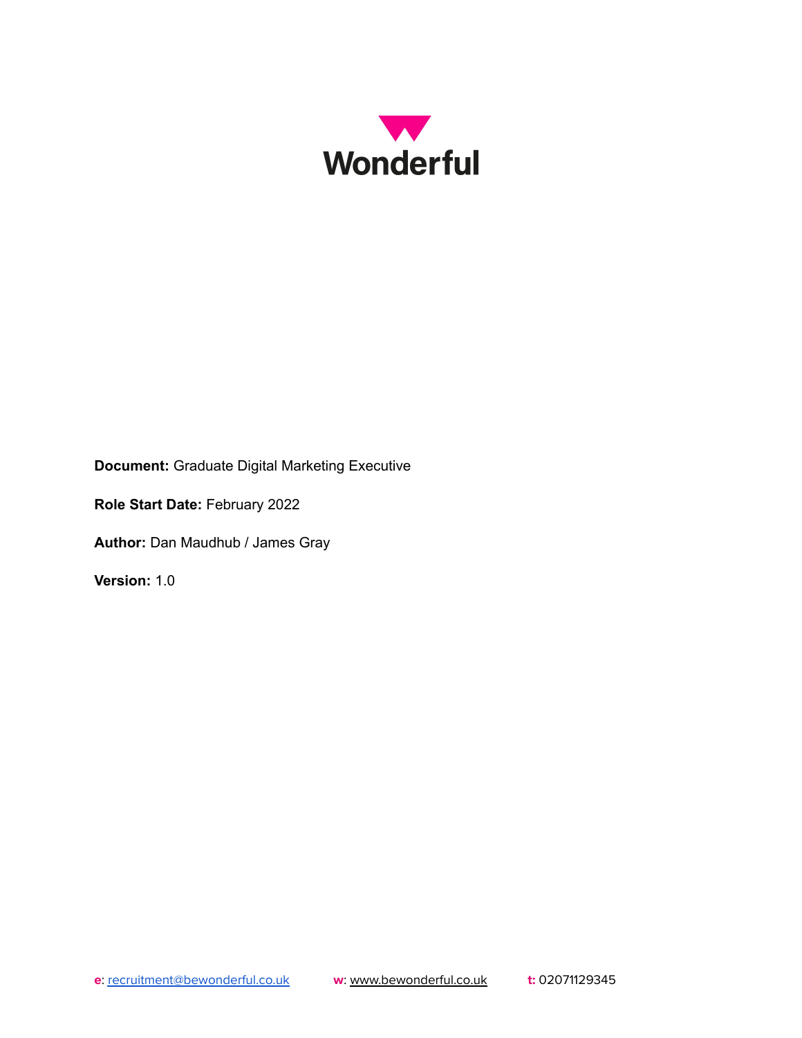

**Document:** Graduate Digital Marketing Executive

**Role Start Date:** February 2022

**Author:** Dan Maudhub / James Gray

**Version:** 1.0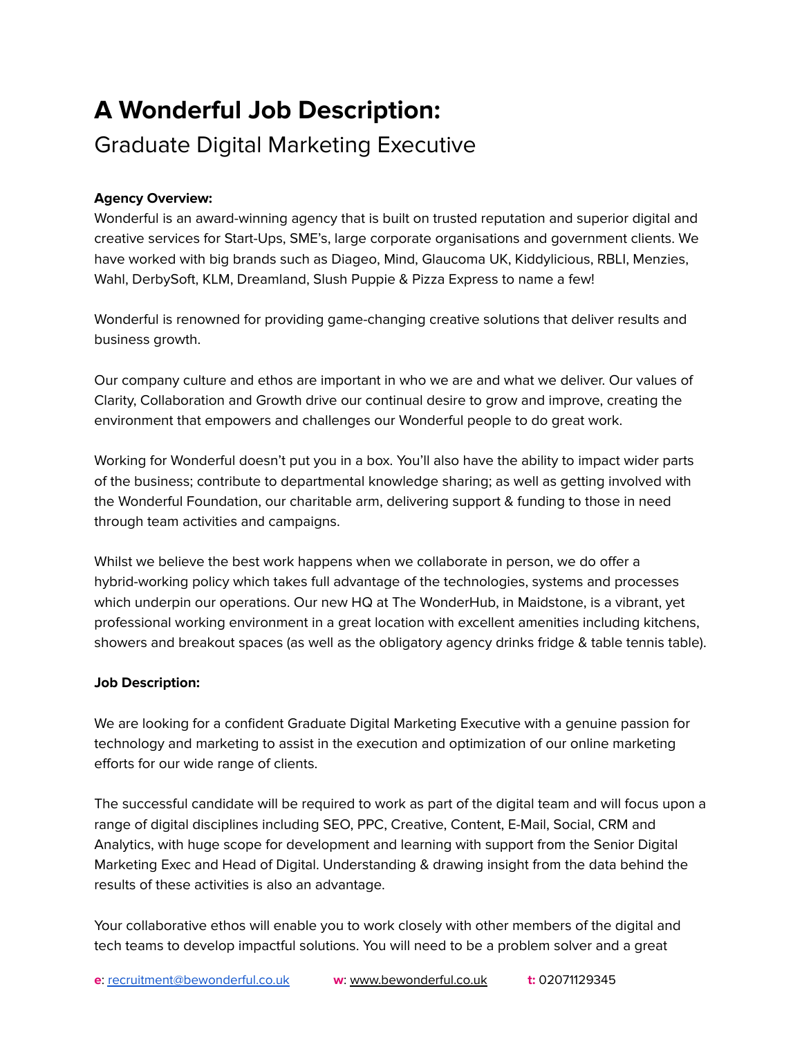# **A Wonderful Job Description:** Graduate Digital Marketing Executive

## **Agency Overview:**

Wonderful is an award-winning agency that is built on trusted reputation and superior digital and creative services for Start-Ups, SME's, large corporate organisations and government clients. We have worked with big brands such as Diageo, Mind, Glaucoma UK, Kiddylicious, RBLI, Menzies, Wahl, DerbySoft, KLM, Dreamland, Slush Puppie & Pizza Express to name a few!

Wonderful is renowned for providing game-changing creative solutions that deliver results and business growth.

Our company culture and ethos are important in who we are and what we deliver. Our values of Clarity, Collaboration and Growth drive our continual desire to grow and improve, creating the environment that empowers and challenges our Wonderful people to do great work.

Working for Wonderful doesn't put you in a box. You'll also have the ability to impact wider parts of the business; contribute to departmental knowledge sharing; as well as getting involved with the Wonderful Foundation, our charitable arm, delivering support & funding to those in need through team activities and campaigns.

Whilst we believe the best work happens when we collaborate in person, we do offer a hybrid-working policy which takes full advantage of the technologies, systems and processes which underpin our operations. Our new HQ at The WonderHub, in Maidstone, is a vibrant, yet professional working environment in a great location with excellent amenities including kitchens, showers and breakout spaces (as well as the obligatory agency drinks fridge & table tennis table).

### **Job Description:**

We are looking for a confident Graduate Digital Marketing Executive with a genuine passion for technology and marketing to assist in the execution and optimization of our online marketing efforts for our wide range of clients.

The successful candidate will be required to work as part of the digital team and will focus upon a range of digital disciplines including SEO, PPC, Creative, Content, E-Mail, Social, CRM and Analytics, with huge scope for development and learning with support from the Senior Digital Marketing Exec and Head of Digital. Understanding & drawing insight from the data behind the results of these activities is also an advantage.

Your collaborative ethos will enable you to work closely with other members of the digital and tech teams to develop impactful solutions. You will need to be a problem solver and a great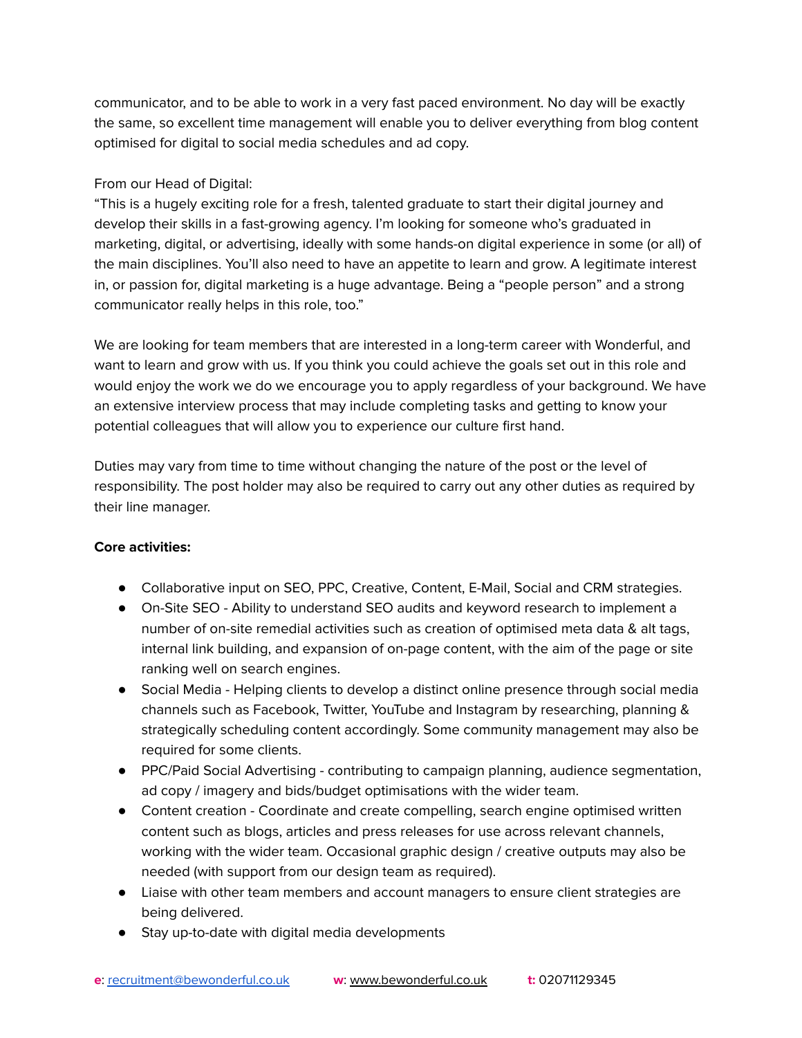communicator, and to be able to work in a very fast paced environment. No day will be exactly the same, so excellent time management will enable you to deliver everything from blog content optimised for digital to social media schedules and ad copy.

## From our Head of Digital:

"This is a hugely exciting role for a fresh, talented graduate to start their digital journey and develop their skills in a fast-growing agency. I'm looking for someone who's graduated in marketing, digital, or advertising, ideally with some hands-on digital experience in some (or all) of the main disciplines. You'll also need to have an appetite to learn and grow. A legitimate interest in, or passion for, digital marketing is a huge advantage. Being a "people person" and a strong communicator really helps in this role, too."

We are looking for team members that are interested in a long-term career with Wonderful, and want to learn and grow with us. If you think you could achieve the goals set out in this role and would enjoy the work we do we encourage you to apply regardless of your background. We have an extensive interview process that may include completing tasks and getting to know your potential colleagues that will allow you to experience our culture first hand.

Duties may vary from time to time without changing the nature of the post or the level of responsibility. The post holder may also be required to carry out any other duties as required by their line manager.

### **Core activities:**

- Collaborative input on SEO, PPC, Creative, Content, E-Mail, Social and CRM strategies.
- On-Site SEO Ability to understand SEO audits and keyword research to implement a number of on-site remedial activities such as creation of optimised meta data & alt tags, internal link building, and expansion of on-page content, with the aim of the page or site ranking well on search engines.
- Social Media Helping clients to develop a distinct online presence through social media channels such as Facebook, Twitter, YouTube and Instagram by researching, planning & strategically scheduling content accordingly. Some community management may also be required for some clients.
- PPC/Paid Social Advertising contributing to campaign planning, audience segmentation, ad copy / imagery and bids/budget optimisations with the wider team.
- Content creation Coordinate and create compelling, search engine optimised written content such as blogs, articles and press releases for use across relevant channels, working with the wider team. Occasional graphic design / creative outputs may also be needed (with support from our design team as required).
- Liaise with other team members and account managers to ensure client strategies are being delivered.
- Stay up-to-date with digital media developments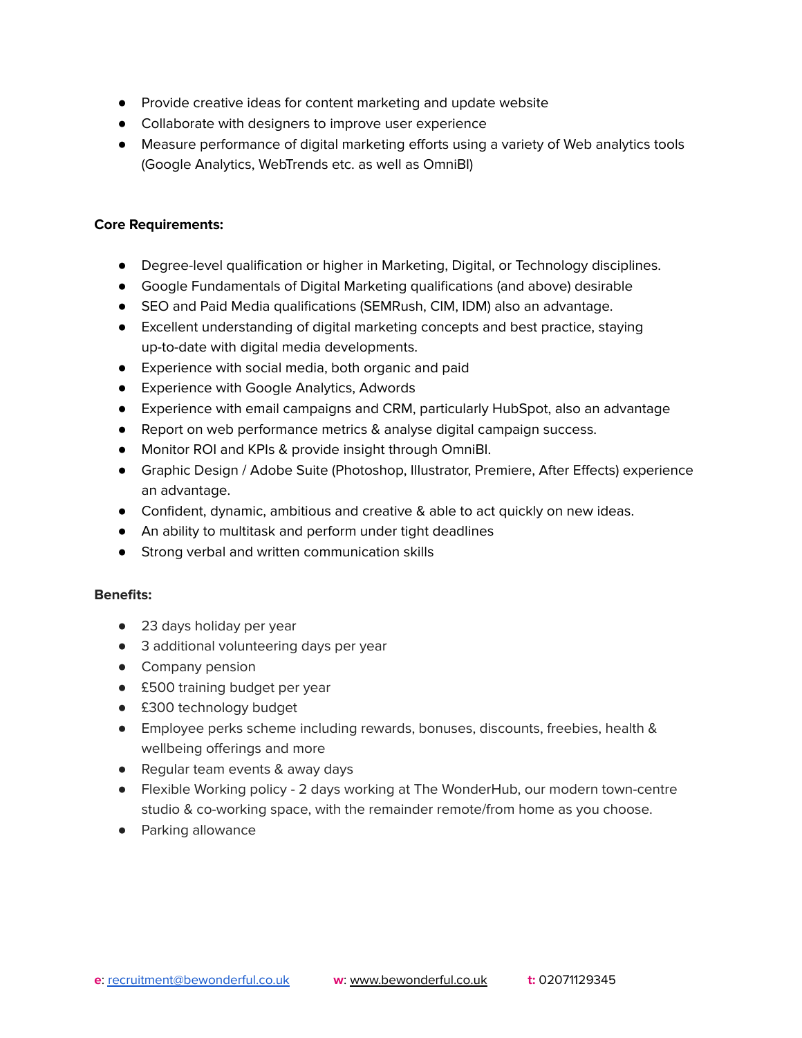- Provide creative ideas for content marketing and update website
- Collaborate with designers to improve user experience
- Measure performance of digital marketing efforts using a variety of Web analytics tools (Google Analytics, WebTrends etc. as well as OmniBI)

#### **Core Requirements:**

- Degree-level qualification or higher in Marketing, Digital, or Technology disciplines.
- Google Fundamentals of Digital Marketing qualifications (and above) desirable
- SEO and Paid Media qualifications (SEMRush, CIM, IDM) also an advantage.
- Excellent understanding of digital marketing concepts and best practice, staying up-to-date with digital media developments.
- Experience with social media, both organic and paid
- Experience with Google Analytics, Adwords
- Experience with email campaigns and CRM, particularly HubSpot, also an advantage
- Report on web performance metrics & analyse digital campaign success.
- Monitor ROI and KPIs & provide insight through OmniBI.
- Graphic Design / Adobe Suite (Photoshop, Illustrator, Premiere, After Effects) experience an advantage.
- Confident, dynamic, ambitious and creative & able to act quickly on new ideas.
- An ability to multitask and perform under tight deadlines
- Strong verbal and written communication skills

### **Benefits:**

- 23 days holiday per year
- 3 additional volunteering days per year
- Company pension
- £500 training budget per year
- £300 technology budget
- Employee perks scheme including rewards, bonuses, discounts, freebies, health & wellbeing offerings and more
- Regular team events & away days
- Flexible Working policy 2 days working at The WonderHub, our modern town-centre studio & co-working space, with the remainder remote/from home as you choose.
- Parking allowance